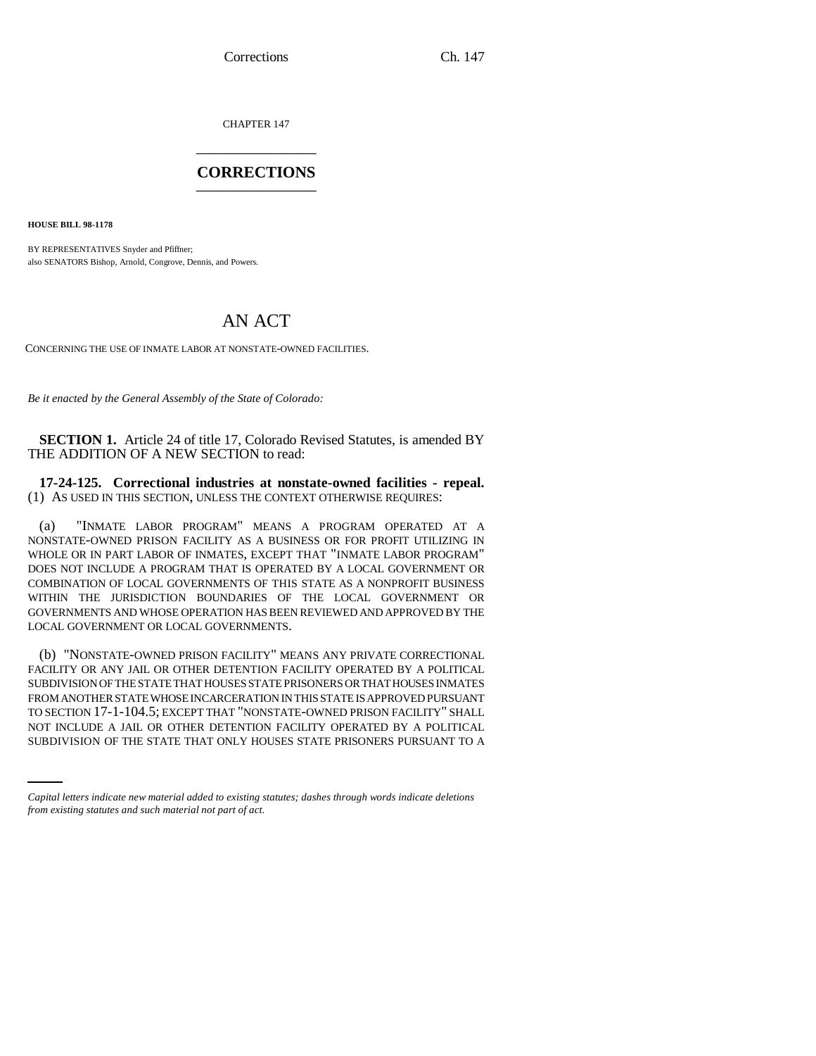CHAPTER 147 \_\_\_\_\_\_\_\_\_\_\_\_\_\_\_

## **CORRECTIONS** \_\_\_\_\_\_\_\_\_\_\_\_\_\_\_

**HOUSE BILL 98-1178**

BY REPRESENTATIVES Snyder and Pfiffner; also SENATORS Bishop, Arnold, Congrove, Dennis, and Powers.

# AN ACT

CONCERNING THE USE OF INMATE LABOR AT NONSTATE-OWNED FACILITIES.

*Be it enacted by the General Assembly of the State of Colorado:*

**SECTION 1.** Article 24 of title 17, Colorado Revised Statutes, is amended BY THE ADDITION OF A NEW SECTION to read:

## **17-24-125. Correctional industries at nonstate-owned facilities - repeal.** (1) AS USED IN THIS SECTION, UNLESS THE CONTEXT OTHERWISE REQUIRES:

(a) "INMATE LABOR PROGRAM" MEANS A PROGRAM OPERATED AT A NONSTATE-OWNED PRISON FACILITY AS A BUSINESS OR FOR PROFIT UTILIZING IN WHOLE OR IN PART LABOR OF INMATES, EXCEPT THAT "INMATE LABOR PROGRAM" DOES NOT INCLUDE A PROGRAM THAT IS OPERATED BY A LOCAL GOVERNMENT OR COMBINATION OF LOCAL GOVERNMENTS OF THIS STATE AS A NONPROFIT BUSINESS WITHIN THE JURISDICTION BOUNDARIES OF THE LOCAL GOVERNMENT OR GOVERNMENTS AND WHOSE OPERATION HAS BEEN REVIEWED AND APPROVED BY THE LOCAL GOVERNMENT OR LOCAL GOVERNMENTS.

TO SECTION 17-1-104.5; EXCEPT THAT "NONSTATE-OWNED PRISON FACILITY" SHALL (b) "NONSTATE-OWNED PRISON FACILITY" MEANS ANY PRIVATE CORRECTIONAL FACILITY OR ANY JAIL OR OTHER DETENTION FACILITY OPERATED BY A POLITICAL SUBDIVISION OF THE STATE THAT HOUSES STATE PRISONERS OR THAT HOUSES INMATES FROM ANOTHER STATE WHOSE INCARCERATION IN THIS STATE IS APPROVED PURSUANT NOT INCLUDE A JAIL OR OTHER DETENTION FACILITY OPERATED BY A POLITICAL SUBDIVISION OF THE STATE THAT ONLY HOUSES STATE PRISONERS PURSUANT TO A

*Capital letters indicate new material added to existing statutes; dashes through words indicate deletions from existing statutes and such material not part of act.*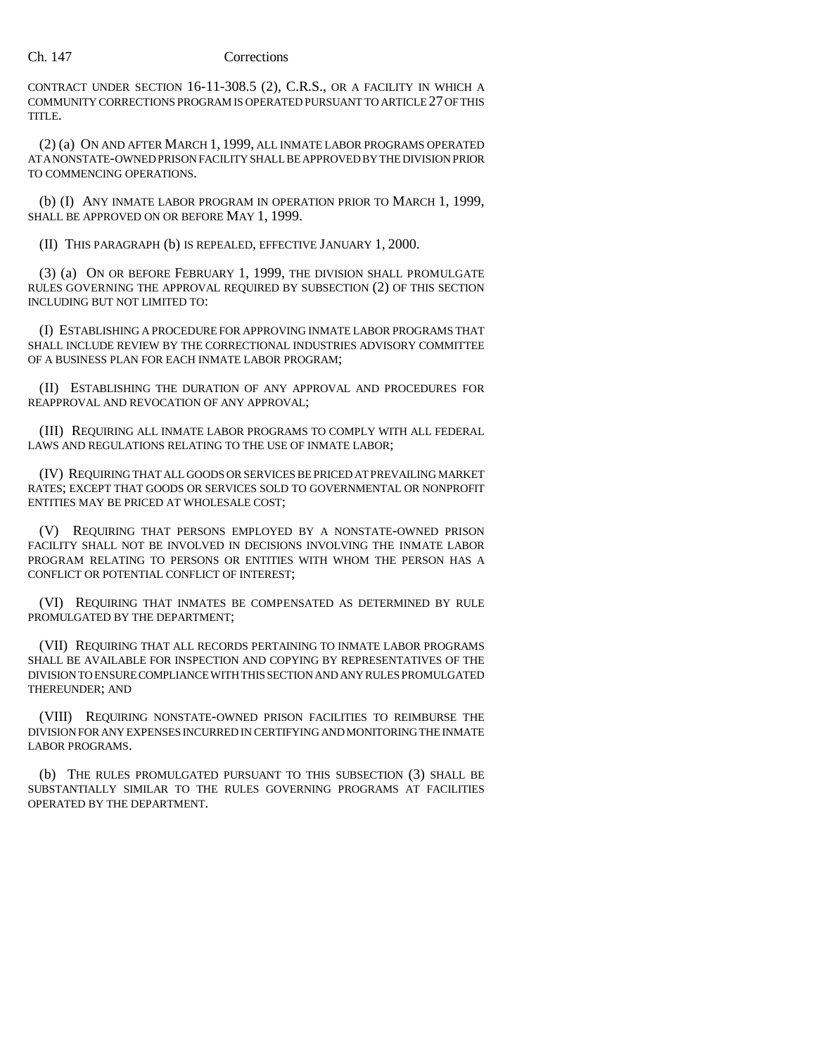### Ch. 147 Corrections

CONTRACT UNDER SECTION 16-11-308.5 (2), C.R.S., OR A FACILITY IN WHICH A COMMUNITY CORRECTIONS PROGRAM IS OPERATED PURSUANT TO ARTICLE 27 OF THIS TITLE.

(2) (a) ON AND AFTER MARCH 1, 1999, ALL INMATE LABOR PROGRAMS OPERATED AT A NONSTATE-OWNED PRISON FACILITY SHALL BE APPROVED BY THE DIVISION PRIOR TO COMMENCING OPERATIONS.

(b) (I) ANY INMATE LABOR PROGRAM IN OPERATION PRIOR TO MARCH 1, 1999, SHALL BE APPROVED ON OR BEFORE MAY 1, 1999.

(II) THIS PARAGRAPH (b) IS REPEALED, EFFECTIVE JANUARY 1, 2000.

(3) (a) ON OR BEFORE FEBRUARY 1, 1999, THE DIVISION SHALL PROMULGATE RULES GOVERNING THE APPROVAL REQUIRED BY SUBSECTION (2) OF THIS SECTION INCLUDING BUT NOT LIMITED TO:

(I) ESTABLISHING A PROCEDURE FOR APPROVING INMATE LABOR PROGRAMS THAT SHALL INCLUDE REVIEW BY THE CORRECTIONAL INDUSTRIES ADVISORY COMMITTEE OF A BUSINESS PLAN FOR EACH INMATE LABOR PROGRAM;

(II) ESTABLISHING THE DURATION OF ANY APPROVAL AND PROCEDURES FOR REAPPROVAL AND REVOCATION OF ANY APPROVAL;

(III) REQUIRING ALL INMATE LABOR PROGRAMS TO COMPLY WITH ALL FEDERAL LAWS AND REGULATIONS RELATING TO THE USE OF INMATE LABOR;

(IV) REQUIRING THAT ALL GOODS OR SERVICES BE PRICED AT PREVAILING MARKET RATES; EXCEPT THAT GOODS OR SERVICES SOLD TO GOVERNMENTAL OR NONPROFIT ENTITIES MAY BE PRICED AT WHOLESALE COST;

(V) REQUIRING THAT PERSONS EMPLOYED BY A NONSTATE-OWNED PRISON FACILITY SHALL NOT BE INVOLVED IN DECISIONS INVOLVING THE INMATE LABOR PROGRAM RELATING TO PERSONS OR ENTITIES WITH WHOM THE PERSON HAS A CONFLICT OR POTENTIAL CONFLICT OF INTEREST;

(VI) REQUIRING THAT INMATES BE COMPENSATED AS DETERMINED BY RULE PROMULGATED BY THE DEPARTMENT;

(VII) REQUIRING THAT ALL RECORDS PERTAINING TO INMATE LABOR PROGRAMS SHALL BE AVAILABLE FOR INSPECTION AND COPYING BY REPRESENTATIVES OF THE DIVISION TO ENSURE COMPLIANCE WITH THIS SECTION AND ANY RULES PROMULGATED THEREUNDER; AND

(VIII) REQUIRING NONSTATE-OWNED PRISON FACILITIES TO REIMBURSE THE DIVISION FOR ANY EXPENSES INCURRED IN CERTIFYING AND MONITORING THE INMATE LABOR PROGRAMS.

(b) THE RULES PROMULGATED PURSUANT TO THIS SUBSECTION (3) SHALL BE SUBSTANTIALLY SIMILAR TO THE RULES GOVERNING PROGRAMS AT FACILITIES OPERATED BY THE DEPARTMENT.